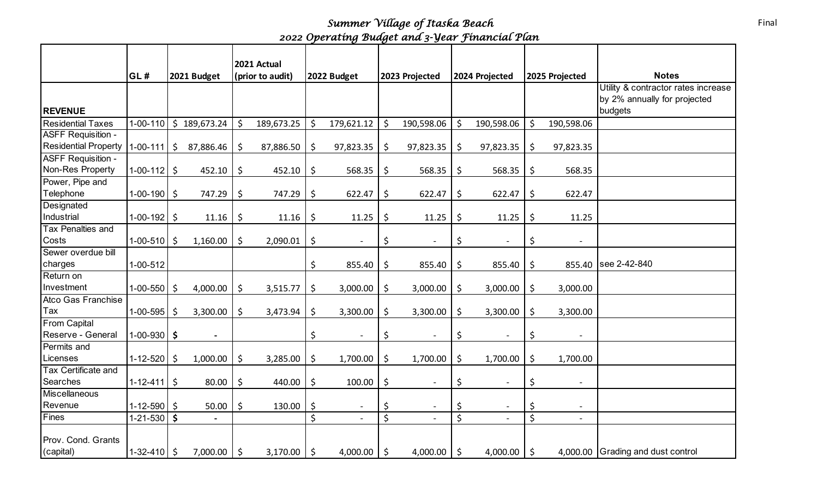*Summer Village of Itaska Beach 2022 Operating Budget and 3-Year Financial Plan*

|                             | GL#               |    | 2021 Budget    |            | 2021 Actual<br>(prior to audit) |         | 2022 Budget              |             | 2023 Projected           | 2024 Projected                 |         | 2025 Projected           | <b>Notes</b>                        |
|-----------------------------|-------------------|----|----------------|------------|---------------------------------|---------|--------------------------|-------------|--------------------------|--------------------------------|---------|--------------------------|-------------------------------------|
|                             |                   |    |                |            |                                 |         |                          |             |                          |                                |         |                          | Utility & contractor rates increase |
|                             |                   |    |                |            |                                 |         |                          |             |                          |                                |         |                          | by 2% annually for projected        |
| <b>REVENUE</b>              |                   |    |                |            |                                 |         |                          |             |                          |                                |         |                          | budgets                             |
| <b>Residential Taxes</b>    | $1 - 00 - 110$    |    | \$189,673.24   | Ś.         | 189,673.25                      | \$      | 179,621.12               | $\zeta$     | 190,598.06               | \$<br>190,598.06               | \$      | 190,598.06               |                                     |
| <b>ASFF Requisition -</b>   |                   |    |                |            |                                 |         |                          |             |                          |                                |         |                          |                                     |
| <b>Residential Property</b> | $1 - 00 - 111$    | Ŝ  | 87,886.46      | \$         | 87,886.50                       | \$      | 97,823.35                | \$          | 97,823.35                | \$<br>97,823.35                | \$      | 97,823.35                |                                     |
| <b>ASFF Requisition -</b>   |                   |    |                |            |                                 |         |                          |             |                          |                                |         |                          |                                     |
| Non-Res Property            | $1-00-112$ \$     |    | 452.10         | \$         | 452.10                          | \$      | 568.35                   | \$          | 568.35                   | \$<br>568.35                   | \$      | 568.35                   |                                     |
| Power, Pipe and             |                   |    |                |            |                                 |         |                          |             |                          |                                |         |                          |                                     |
| Telephone                   | $1-00-190$ \$     |    | 747.29         | \$         | 747.29                          | \$      | 622.47                   | \$          | 622.47                   | \$<br>622.47                   | \$      | 622.47                   |                                     |
| Designated                  |                   |    |                |            |                                 |         |                          |             |                          |                                |         |                          |                                     |
| Industrial                  | $1-00-192$ \$     |    | 11.16          | \$         | 11.16                           | \$      | 11.25                    | $\zeta$     | 11.25                    | \$<br>11.25                    | \$      | 11.25                    |                                     |
| Tax Penalties and           |                   |    |                |            |                                 |         |                          |             |                          |                                |         |                          |                                     |
| Costs                       | $1-00-510$ \$     |    | 1,160.00       | \$         | 2,090.01                        | \$      |                          | \$          | $\overline{a}$           | \$                             | \$      | $\overline{a}$           |                                     |
| Sewer overdue bill          |                   |    |                |            |                                 |         |                          |             |                          |                                |         |                          |                                     |
| charges                     | 1-00-512          |    |                |            |                                 | \$      | 855.40                   | \$          | 855.40                   | \$<br>855.40                   | \$      |                          | 855.40   see 2-42-840               |
| Return on                   |                   |    |                |            |                                 |         |                          |             |                          |                                |         |                          |                                     |
| Investment                  | $1-00-550$ \$     |    | 4,000.00       | \$         | 3,515.77                        | \$      | 3,000.00                 | \$          | 3,000.00                 | \$<br>3,000.00                 | \$      | 3,000.00                 |                                     |
| Atco Gas Franchise          |                   |    |                |            |                                 |         |                          |             |                          |                                |         |                          |                                     |
| Tax                         | $1-00-595$ \$     |    | 3,300.00       | $\zeta$    | 3,473.94                        | \$      | 3,300.00                 | \$          | 3,300.00                 | \$<br>3,300.00                 | \$      | 3,300.00                 |                                     |
| <b>From Capital</b>         |                   |    |                |            |                                 |         |                          |             |                          |                                |         |                          |                                     |
| Reserve - General           | $1-00-930$ \$     |    | $\blacksquare$ |            |                                 | \$      | $\overline{\phantom{a}}$ | \$          | $\overline{\phantom{a}}$ | \$<br>$\overline{\phantom{a}}$ | \$      | $\overline{\phantom{a}}$ |                                     |
| Permits and                 |                   |    |                |            |                                 |         |                          |             |                          |                                |         |                          |                                     |
| Licenses                    | $1 - 12 - 520$    | \$ | 1,000.00       | \$         | 3,285.00                        | \$      | 1,700.00                 | \$          | 1,700.00                 | \$<br>1,700.00                 | \$      | 1,700.00                 |                                     |
| Tax Certificate and         |                   |    |                |            |                                 |         |                          |             |                          |                                |         |                          |                                     |
| Searches                    | $1 - 12 - 411$ \$ |    | 80.00          | \$         | 440.00                          | $\zeta$ | 100.00                   | $\zeta$     | $\overline{\phantom{a}}$ | \$<br>$\blacksquare$           | \$      | $\overline{\phantom{a}}$ |                                     |
| Miscellaneous               |                   |    |                |            |                                 |         |                          |             |                          |                                |         |                          |                                     |
| Revenue                     | $1 - 12 - 590$ \$ |    | 50.00          | \$         | 130.00                          | \$      |                          | \$          | $\overline{\phantom{a}}$ | \$                             | \$      | $\overline{\phantom{a}}$ |                                     |
| Fines                       | $1-21-530$ \$     |    | $\blacksquare$ |            |                                 | \$      |                          | $\zeta$     | $\overline{\phantom{0}}$ | \$                             | \$      |                          |                                     |
|                             |                   |    |                |            |                                 |         |                          |             |                          |                                |         |                          |                                     |
| Prov. Cond. Grants          |                   |    |                |            |                                 |         |                          |             |                          |                                |         |                          |                                     |
| (capital)                   | $1-32-410$ \$     |    | 7,000.00       | $\vert$ \$ | 3,170.00                        | $\zeta$ | 4,000.00                 | $\varsigma$ | 4,000.00 $\mid$ \$       | 4,000.00                       | $\zeta$ |                          | 4,000.00 Grading and dust control   |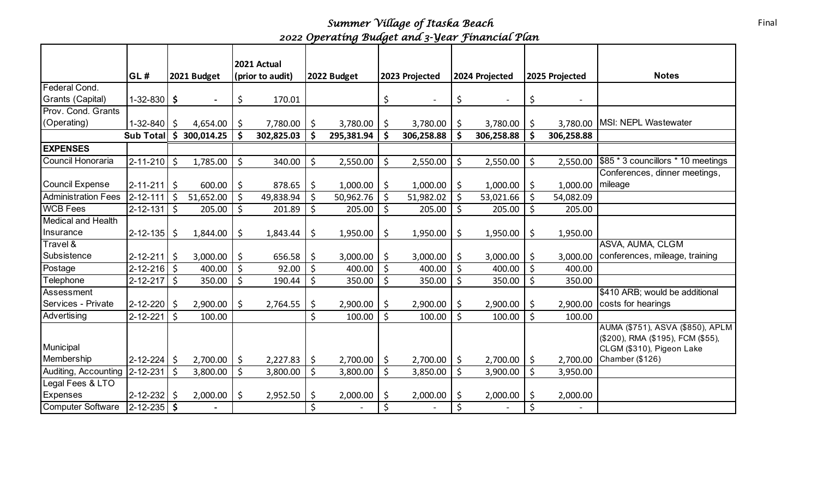*Summer Village of Itaska Beach 2022 Operating Budget and 3-Year Financial Plan*

|                               | GL#               |     | 2021 Budget    |         | 2021 Actual<br>(prior to audit) |    | 2022 Budget |                    | 2023 Projected           |    | 2024 Projected |             | 2025 Projected | <b>Notes</b>                                                                                                                   |
|-------------------------------|-------------------|-----|----------------|---------|---------------------------------|----|-------------|--------------------|--------------------------|----|----------------|-------------|----------------|--------------------------------------------------------------------------------------------------------------------------------|
| Federal Cond.                 |                   |     |                |         |                                 |    |             |                    |                          |    |                |             |                |                                                                                                                                |
| Grants (Capital)              | $1 - 32 - 830$    | \$  | $\blacksquare$ | \$      | 170.01                          |    |             | \$                 | $\overline{\phantom{a}}$ | \$ |                | \$          |                |                                                                                                                                |
| Prov. Cond. Grants            |                   |     |                |         |                                 |    |             |                    |                          |    |                |             |                |                                                                                                                                |
| (Operating)                   | $1 - 32 - 840$    | S   | 4,654.00       | -\$     | 7,780.00                        | \$ | 3,780.00    | \$                 | 3,780.00                 | \$ | 3,780.00       | \$          |                | 3,780.00   MSI: NEPL Wastewater                                                                                                |
|                               | <b>Sub Total</b>  | \$  | 300,014.25     | Š.      | 302,825.03                      | Ś  | 295,381.94  | \$                 | 306,258.88               |    | 306,258.88     | Ś           | 306,258.88     |                                                                                                                                |
| <b>EXPENSES</b>               |                   |     |                |         |                                 |    |             |                    |                          |    |                |             |                |                                                                                                                                |
| Council Honoraria             | $2 - 11 - 210$ \$ |     | 1,785.00       | \$      | 340.00                          | \$ | 2,550.00    | \$                 | 2,550.00                 | \$ | 2,550.00       | \$          | 2,550.00       | \$85 * 3 councillors * 10 meetings                                                                                             |
|                               |                   |     |                |         |                                 |    |             |                    |                          |    |                |             |                | Conferences, dinner meetings,                                                                                                  |
| <b>Council Expense</b>        | $2 - 11 - 211$ \$ |     | 600.00         | \$      | 878.65                          | \$ | 1,000.00    | \$                 | 1,000.00                 | \$ | 1,000.00       | \$          | 1,000.00       | mileage                                                                                                                        |
| <b>Administration Fees</b>    | $2 - 12 - 111$    | -\$ | 51,652.00      | \$      | 49,838.94                       | \$ | 50,962.76   | \$                 | 51,982.02                | \$ | 53,021.66      | \$          | 54,082.09      |                                                                                                                                |
| <b>WCB Fees</b>               | $2 - 12 - 131$ \$ |     | 205.00         | $\zeta$ | 201.89                          | \$ | 205.00      | \$                 | 205.00                   | \$ | 205.00         | \$          | 205.00         |                                                                                                                                |
| <b>Medical and Health</b>     |                   |     |                |         |                                 |    |             |                    |                          |    |                |             |                |                                                                                                                                |
| Insurance                     | $2 - 12 - 135$    | \$  | 1,844.00       | \$      | 1,843.44                        | \$ | 1,950.00    | \$                 | 1,950.00                 | \$ | 1,950.00       | \$          | 1,950.00       |                                                                                                                                |
| Travel &                      |                   |     |                |         |                                 |    |             |                    |                          |    |                |             |                | ASVA, AUMA, CLGM                                                                                                               |
| Subsistence                   | $2 - 12 - 211$ \$ |     | 3,000.00       | Ŝ.      | 656.58                          | \$ | 3,000.00    | \$                 | 3,000.00                 | \$ | 3,000.00       | \$          |                | 3,000.00 conferences, mileage, training                                                                                        |
| Postage                       | $2 - 12 - 216$ \$ |     | 400.00         | Ŝ.      | 92.00                           | \$ | 400.00      | \$                 | 400.00                   |    | 400.00         | \$          | 400.00         |                                                                                                                                |
| Telephone                     | $2 - 12 - 217$    | Ś   | 350.00         | $\zeta$ | 190.44                          | \$ | 350.00      | \$                 | 350.00                   | \$ | 350.00         | \$          | 350.00         |                                                                                                                                |
| Assessment                    |                   |     |                |         |                                 |    |             |                    |                          |    |                |             |                | \$410 ARB; would be additional                                                                                                 |
| Services - Private            | 2-12-220          | \$  | 2,900.00       | \$      | 2,764.55                        | \$ | 2,900.00    | \$                 | 2,900.00                 | \$ | 2,900.00       | \$          | 2,900.00       | costs for hearings                                                                                                             |
| Advertising                   | 2-12-221          | Ś.  | 100.00         |         |                                 | \$ | 100.00      | $\zeta$            | 100.00                   |    | 100.00         | \$          | 100.00         |                                                                                                                                |
| Municipal<br>Membership       | $2 - 12 - 224$ \$ |     | 2,700.00       | $\zeta$ | 2,227.83                        | \$ | 2,700.00    | \$                 | 2,700.00                 | \$ | 2,700.00       | $\varsigma$ |                | AUMA (\$751), ASVA (\$850), APLM<br>(\$200), RMA (\$195), FCM (\$55),<br>CLGM (\$310), Pigeon Lake<br>2,700.00 Chamber (\$126) |
| Auditing, Accounting 2-12-231 |                   | -Ś  | 3,800.00       | \$      | 3,800.00                        | \$ | 3,800.00    | \$                 | 3,850.00                 | \$ | 3,900.00       | \$          | 3,950.00       |                                                                                                                                |
| Legal Fees & LTO              |                   |     |                |         |                                 |    |             |                    |                          |    |                |             |                |                                                                                                                                |
| Expenses                      | $2 - 12 - 232$    |     | 2,000.00       | Ŝ.      | 2,952.50                        | \$ | 2,000.00    | \$                 | 2,000.00                 | Ś  | 2,000.00       | S           | 2,000.00       |                                                                                                                                |
| Computer Software             | $2 - 12 - 235$ \$ |     |                |         |                                 | Ś  |             | $\mathsf{\dot{S}}$ |                          | Ś  |                | Ś           |                |                                                                                                                                |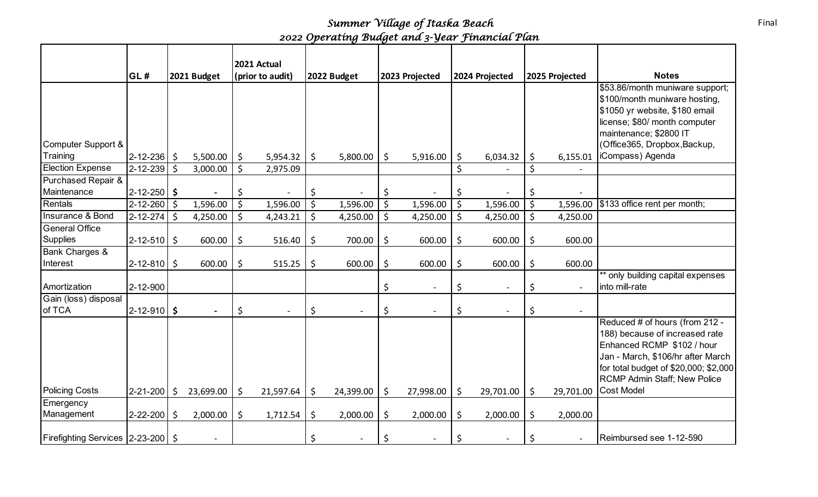## *Summer Village of Itaska Beach 2022 Operating Budget and 3-Year Financial Plan*

|                                          |                   |                 |         | 2021 Actual      |         |             |         |                          |         |                |    |                |                                                                                                                                                                                                                     |
|------------------------------------------|-------------------|-----------------|---------|------------------|---------|-------------|---------|--------------------------|---------|----------------|----|----------------|---------------------------------------------------------------------------------------------------------------------------------------------------------------------------------------------------------------------|
|                                          | GL#               | 2021 Budget     |         | (prior to audit) |         | 2022 Budget |         | 2023 Projected           |         | 2024 Projected |    | 2025 Projected | <b>Notes</b>                                                                                                                                                                                                        |
| Computer Support &                       |                   |                 |         |                  |         |             |         |                          |         |                |    |                | \$53.86/month muniware support;<br>\$100/month muniware hosting,<br>\$1050 yr website, \$180 email<br>license; \$80/ month computer<br>maintenance; \$2800 IT<br>(Office365, Dropbox, Backup,                       |
| Training                                 | $2 - 12 - 236$ \$ | 5,500.00        | \$      | 5,954.32         | \$      | 5,800.00    | \$      | 5,916.00                 | \$      | 6,034.32       | \$ | 6,155.01       | iCompass) Agenda                                                                                                                                                                                                    |
| <b>Election Expense</b>                  | $2 - 12 - 239$ \$ | 3,000.00        | \$      | 2,975.09         |         |             |         |                          | \$      |                | Ś  |                |                                                                                                                                                                                                                     |
| Purchased Repair &<br>Maintenance        | $2 - 12 - 250$ \$ |                 | \$      |                  | \$      |             | \$      |                          | \$      |                | \$ |                |                                                                                                                                                                                                                     |
| Rentals                                  | $2 - 12 - 260$ \$ | 1,596.00        | $\zeta$ | 1,596.00         | $\zeta$ | 1,596.00    | $\zeta$ | 1,596.00                 | $\zeta$ | 1,596.00       | \$ | 1,596.00       | \$133 office rent per month;                                                                                                                                                                                        |
| Insurance & Bond                         | $2 - 12 - 274$ \$ | 4,250.00        | $\zeta$ | 4,243.21         | \$      | 4,250.00    | \$      | 4,250.00                 | \$      | 4,250.00       | \$ | 4,250.00       |                                                                                                                                                                                                                     |
| <b>General Office</b><br><b>Supplies</b> | $2 - 12 - 510$ \$ | 600.00          | \$      | 516.40           | \$      | 700.00      | \$      | 600.00                   | \$      | 600.00         | \$ | 600.00         |                                                                                                                                                                                                                     |
| Bank Charges &<br>Interest               | $2 - 12 - 810$ \$ | 600.00          | $\zeta$ | 515.25           | \$      | 600.00      | $\zeta$ | 600.00                   | $\zeta$ | 600.00         | \$ | 600.00         |                                                                                                                                                                                                                     |
| Amortization                             | 2-12-900          |                 |         |                  |         |             | \$      | $\overline{a}$           | \$      |                | \$ | $\sim$         | ** only building capital expenses<br>into mill-rate                                                                                                                                                                 |
| Gain (loss) disposal<br>of TCA           | $2 - 12 - 910$ \$ |                 | \$      |                  | \$      |             | \$      | $\overline{\phantom{a}}$ | \$      |                | \$ |                |                                                                                                                                                                                                                     |
|                                          |                   |                 |         |                  |         |             |         |                          |         |                |    |                | Reduced # of hours (from 212 -<br>188) because of increased rate<br>Enhanced RCMP \$102 / hour<br>Jan - March, \$106/hr after March<br>for total budget of \$20,000; \$2,000<br><b>RCMP Admin Staff; New Police</b> |
| <b>Policing Costs</b>                    | 2-21-200          | \$<br>23,699.00 | \$      | 21,597.64        | \$      | 24,399.00   | \$      | 27,998.00                | \$      | 29,701.00      | \$ | 29,701.00      | <b>Cost Model</b>                                                                                                                                                                                                   |
| Emergency<br>Management                  | $2 - 22 - 200$    | \$<br>2,000.00  | \$      | 1,712.54         | \$      | 2,000.00    | \$      | 2,000.00                 | \$      | 2,000.00       | \$ | 2,000.00       |                                                                                                                                                                                                                     |
| Firefighting Services 2-23-200   \$      |                   |                 |         |                  | \$      |             | \$      |                          | \$      |                | \$ |                | Reimbursed see 1-12-590                                                                                                                                                                                             |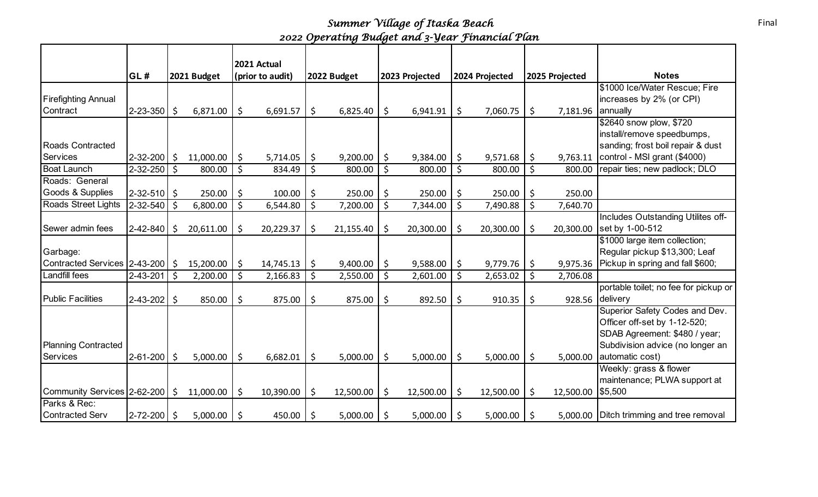## *Summer Village of Itaska Beach 2022 Operating Budget and 3-Year Financial Plan*

|                                     |                   |     |             |                    | 2021 Actual      |         |             |                 |                 |                           |                                          |
|-------------------------------------|-------------------|-----|-------------|--------------------|------------------|---------|-------------|-----------------|-----------------|---------------------------|------------------------------------------|
|                                     | GL#               |     | 2021 Budget |                    | (prior to audit) |         | 2022 Budget | 2023 Projected  | 2024 Projected  | 2025 Projected            | <b>Notes</b>                             |
|                                     |                   |     |             |                    |                  |         |             |                 |                 |                           | \$1000 Ice/Water Rescue; Fire            |
| <b>Firefighting Annual</b>          |                   |     |             |                    |                  |         |             |                 |                 |                           | increases by 2% (or CPI)                 |
| Contract                            | $2 - 23 - 350$ \$ |     | 6,871.00    | \$                 | 6,691.57         | \$      | 6,825.40    | \$<br>6,941.91  | \$<br>7,060.75  | \$<br>7,181.96   annually |                                          |
|                                     |                   |     |             |                    |                  |         |             |                 |                 |                           | \$2640 snow plow, \$720                  |
|                                     |                   |     |             |                    |                  |         |             |                 |                 |                           | install/remove speedbumps,               |
| <b>Roads Contracted</b>             |                   |     |             |                    |                  |         |             |                 |                 |                           | sanding; frost boil repair & dust        |
| Services                            | 2-32-200          | \$  | 11,000.00   | \$                 | 5,714.05         | \$      | 9,200.00    | \$<br>9,384.00  | \$<br>9,571.68  | \$<br>9,763.11            | control - MSI grant (\$4000)             |
| <b>Boat Launch</b>                  | 2-32-250          | \$  | 800.00      | \$                 | 834.49           | \$      | 800.00      | \$<br>800.00    | \$<br>800.00    | \$<br>800.00              | repair ties; new padlock; DLO            |
| Roads: General                      |                   |     |             |                    |                  |         |             |                 |                 |                           |                                          |
| Goods & Supplies                    | $2 - 32 - 510$ \$ |     | 250.00      | \$                 | 100.00           | \$      | 250.00      | \$<br>250.00    | \$<br>250.00    | \$<br>250.00              |                                          |
| Roads Street Lights                 | 2-32-540          | Ś.  | 6,800.00    | $\zeta$            | 6,544.80         | $\zeta$ | 7,200.00    | \$<br>7,344.00  | \$<br>7,490.88  | \$<br>7,640.70            |                                          |
|                                     |                   |     |             |                    |                  |         |             |                 |                 |                           | Includes Outstanding Utilites off-       |
| Sewer admin fees                    | 2-42-840          | Ś   | 20,611.00   | Ś                  | 20,229.37        | \$      | 21,155.40   | \$<br>20,300.00 | \$<br>20,300.00 | \$<br>20,300.00           | set by 1-00-512                          |
|                                     |                   |     |             |                    |                  |         |             |                 |                 |                           | \$1000 large item collection;            |
| Garbage:                            |                   |     |             |                    |                  |         |             |                 |                 |                           | Regular pickup \$13,300; Leaf            |
| Contracted Services   2-43-200   \$ |                   |     | 15,200.00   | Ŝ.                 | 14,745.13        | \$      | 9,400.00    | \$<br>9,588.00  | \$<br>9,779.76  | \$<br>9,975.36            | Pickup in spring and fall \$600;         |
| Landfill fees                       | 2-43-201          | -\$ | 2,200.00    | $\mathsf{\dot{S}}$ | 2,166.83         | \$      | 2,550.00    | \$<br>2,601.00  | \$<br>2,653.02  | \$<br>2,706.08            |                                          |
|                                     |                   |     |             |                    |                  |         |             |                 |                 |                           | portable toilet; no fee for pickup or    |
| <b>Public Facilities</b>            | $2 - 43 - 202$    | \$  | 850.00      | \$                 | 875.00           | \$      | 875.00      | \$<br>892.50    | \$<br>910.35    | \$<br>928.56              | delivery                                 |
|                                     |                   |     |             |                    |                  |         |             |                 |                 |                           | Superior Safety Codes and Dev.           |
|                                     |                   |     |             |                    |                  |         |             |                 |                 |                           | Officer off-set by 1-12-520;             |
|                                     |                   |     |             |                    |                  |         |             |                 |                 |                           | SDAB Agreement: \$480 / year;            |
| <b>Planning Contracted</b>          |                   |     |             |                    |                  |         |             |                 |                 |                           | Subdivision advice (no longer an         |
| <b>Services</b>                     | $2 - 61 - 200$    | Ś.  | 5,000.00    | Ŝ.                 | 6,682.01         | \$      | 5,000.00    | \$<br>5,000.00  | \$<br>5,000.00  | \$<br>5,000.00            | automatic cost)                          |
|                                     |                   |     |             |                    |                  |         |             |                 |                 |                           | Weekly: grass & flower                   |
|                                     |                   |     |             |                    |                  |         |             |                 |                 |                           | maintenance; PLWA support at             |
| Community Services 2-62-200         |                   | \$  | 11,000.00   | \$                 | 10,390.00        | \$      | 12,500.00   | \$<br>12,500.00 | \$<br>12,500.00 | \$<br>12,500.00           | \$5,500                                  |
| Parks & Rec:                        |                   |     |             |                    |                  |         |             |                 |                 |                           |                                          |
| <b>Contracted Serv</b>              | $2 - 72 - 200$    | Ś.  | 5,000.00    | \$                 | 450.00           | \$      | 5,000.00    | \$<br>5,000.00  | \$<br>5,000.00  | \$                        | 5,000.00 Ditch trimming and tree removal |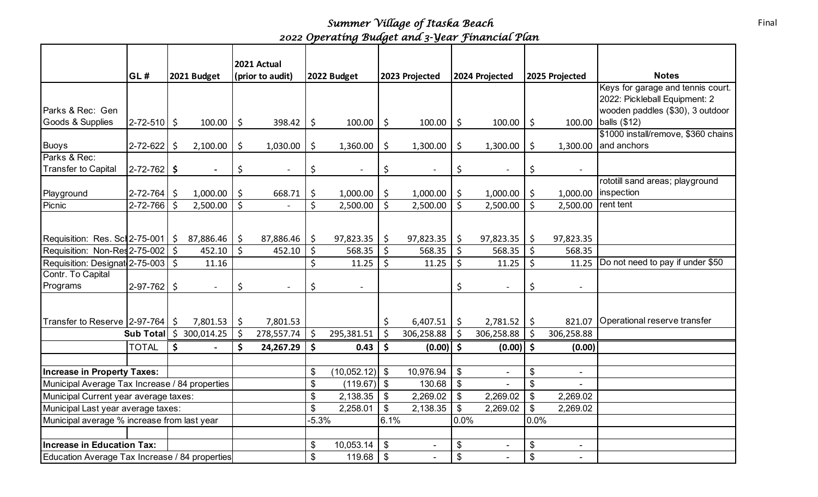## *Summer Village of Itaska Beach 2022 Operating Budget and 3-Year Financial Plan*

|                                                |                                       |    |                                            |                    | 2021 Actual      |              |                  |                    |                |                |                |                           |                |                                                    |
|------------------------------------------------|---------------------------------------|----|--------------------------------------------|--------------------|------------------|--------------|------------------|--------------------|----------------|----------------|----------------|---------------------------|----------------|----------------------------------------------------|
|                                                | GL#                                   |    | 2021 Budget                                |                    | (prior to audit) |              | 2022 Budget      |                    | 2023 Projected |                | 2024 Projected |                           | 2025 Projected | <b>Notes</b>                                       |
|                                                |                                       |    |                                            |                    |                  |              |                  |                    |                |                |                |                           |                | Keys for garage and tennis court.                  |
|                                                |                                       |    |                                            |                    |                  |              |                  |                    |                |                |                |                           |                | 2022: Pickleball Equipment: 2                      |
| Parks & Rec: Gen                               |                                       |    |                                            |                    |                  |              |                  |                    |                |                |                |                           |                | wooden paddles (\$30), 3 outdoor                   |
| Goods & Supplies                               | $ 2 - 72 - 510 $ \$                   |    | 100.00                                     | \$                 | 398.42           | \$           | 100.00           | $\zeta$            | 100.00         | \$             | 100.00         | \$                        | 100.00         | balls (\$12)                                       |
| <b>Buoys</b>                                   | 2-72-622                              | Ŝ. | 2,100.00                                   | \$                 | 1,030.00         | \$           | 1,360.00         | \$                 | 1,300.00       | \$             | 1,300.00       | \$                        | 1,300.00       | \$1000 install/remove, \$360 chains<br>and anchors |
| Parks & Rec:                                   |                                       |    |                                            |                    |                  |              |                  |                    |                |                |                |                           |                |                                                    |
| <b>Transfer to Capital</b>                     | $ 2 - 72 - 762 $ \$                   |    |                                            | \$                 |                  | \$           |                  | \$                 |                | \$             |                | \$                        |                |                                                    |
|                                                |                                       |    |                                            |                    |                  |              |                  |                    |                |                |                |                           |                | rototill sand areas; playground                    |
| Playground                                     | $2 - 72 - 764$ \$                     |    | 1,000.00                                   | \$                 | 668.71           | \$           | 1,000.00         | \$                 | 1,000.00       | \$             | 1,000.00       | \$                        | 1,000.00       | inspection                                         |
| Picnic                                         | $2 - 72 - 766$ \$                     |    | 2,500.00                                   | $\mathsf{\dot{S}}$ |                  | \$           | 2,500.00         | $\mathsf{\dot{S}}$ | 2,500.00       | Ś.             | 2,500.00       | \$                        | 2,500.00       | rent tent                                          |
|                                                |                                       |    |                                            |                    |                  |              |                  |                    |                |                |                |                           |                |                                                    |
| Requisition: Res. Scl 2-75-001   \$            |                                       |    | 87,886.46                                  | Ŝ.                 | 87,886.46        | \$           | $97,823.35$   \$ |                    | 97,823.35      | \$             | 97,823.35      | \$                        | 97,823.35      |                                                    |
| Requisition: Non-Res 2-75-002   \$             |                                       |    | 452.10                                     | $\mathsf{S}$       | 452.10           | $\zeta$      | 568.35           | $\zeta$            | 568.35         | \$             | 568.35         | \$                        | 568.35         |                                                    |
| Requisition: Designat 2-75-003   \$            |                                       |    | 11.16                                      |                    |                  | \$           | 11.25            | \$                 | 11.25          | \$             | 11.25          | \$                        | 11.25          | Do not need to pay if under \$50                   |
| Contr. To Capital                              |                                       |    |                                            |                    |                  |              |                  |                    |                |                |                |                           |                |                                                    |
| Programs                                       | $2-97-762$ \$                         |    | $\overline{a}$                             | \$                 |                  | \$           |                  |                    |                | \$             |                | \$                        |                |                                                    |
|                                                |                                       |    |                                            |                    |                  |              |                  |                    |                |                |                |                           |                |                                                    |
| Transfer to Reserve $ 2-97-764 $ \$            |                                       |    | 7,801.53                                   | \$                 | 7,801.53         |              |                  | \$                 | 6,407.51       | \$             | 2,781.52       | \$                        | 821.07         | Operational reserve transfer                       |
|                                                |                                       |    | <b>Sub Total</b> $\binom{5}{9}$ 300,014.25 | S.                 | 278,557.74       | \$           | 295,381.51       | $\zeta$            | 306,258.88     | \$             | 306,258.88     | \$                        | 306,258.88     |                                                    |
|                                                | <b>TOTAL</b>                          | Ś. |                                            | Ś                  | 24,267.29        | \$           | 0.43             | \$                 | (0.00)         | \$             | (0.00)         | $\mathsf{\hat{S}}$        | (0.00)         |                                                    |
|                                                |                                       |    |                                            |                    |                  |              |                  |                    |                |                |                |                           |                |                                                    |
| <b>Increase in Property Taxes:</b>             |                                       |    |                                            |                    |                  | \$           | $(10,052.12)$ \$ |                    | 10,976.94      | $\$\$          | $\blacksquare$ | \$                        | $\blacksquare$ |                                                    |
| Municipal Average Tax Increase / 84 properties |                                       |    |                                            |                    |                  | \$           | (119.67)         | \$                 | 130.68         | \$             |                | \$                        | $\sim$         |                                                    |
|                                                | Municipal Current year average taxes: |    |                                            |                    |                  | \$           | 2,138.35         | $\mathfrak{F}$     | 2,269.02       | $\mathfrak{S}$ | 2,269.02       | \$                        | 2,269.02       |                                                    |
| Municipal Last year average taxes:             |                                       |    |                                            | \$                 | 2,258.01         | $\mathbb{S}$ | 2,138.35         | $\mathbb{S}$       | 2,269.02       | $\mathfrak{S}$ | 2,269.02       |                           |                |                                                    |
| Municipal average % increase from last year    |                                       |    |                                            | $-5.3%$            |                  | 6.1%         |                  | 0.0%               |                | 0.0%           |                |                           |                |                                                    |
|                                                |                                       |    |                                            |                    |                  |              |                  |                    |                |                |                |                           |                |                                                    |
| <b>Increase in Education Tax:</b>              |                                       |    |                                            | \$                 | 10,053.14        | $\$\$        | $\blacksquare$   | \$                 | $\blacksquare$ | \$             | $\blacksquare$ |                           |                |                                                    |
| Education Average Tax Increase / 84 properties |                                       |    |                                            |                    |                  | \$           | 119.68           | $\$\$              | $\sim$         | \$             | $\blacksquare$ | $\boldsymbol{\mathsf{S}}$ | $\sim$         |                                                    |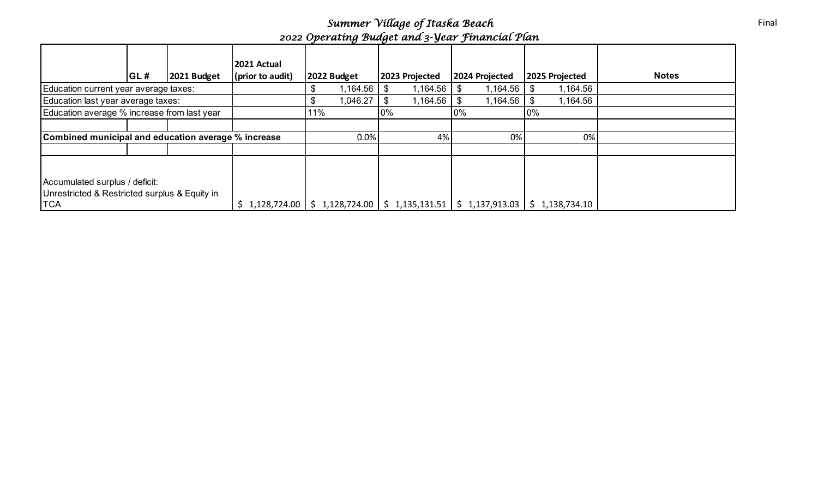*Summer Village of Itaska Beach 2022 Operating Budget and 3-Year Financial Plan*

|                                                                                 |     |             | 2021 Actual          |     |             |       |                                    |       |                |       |                |              |
|---------------------------------------------------------------------------------|-----|-------------|----------------------|-----|-------------|-------|------------------------------------|-------|----------------|-------|----------------|--------------|
|                                                                                 | GL# | 2021 Budget | $ $ (prior to audit) |     | 2022 Budget |       | 2023 Projected                     |       | 2024 Projected |       | 2025 Projected | <b>Notes</b> |
| Education current year average taxes:                                           |     |             |                      | D   | 164.56, ا   |       | ,164.56                            |       | 1,164.56       |       | 1,164.56       |              |
| Education last year average taxes:                                              |     |             |                      |     | 046.27      |       | l,164.56                           | S     | 1,164.56       |       | 1,164.56       |              |
| Education average % increase from last year                                     |     |             |                      | 11% |             | $0\%$ |                                    | $0\%$ |                | $0\%$ |                |              |
|                                                                                 |     |             |                      |     |             |       |                                    |       |                |       |                |              |
| Combined municipal and education average % increase                             |     |             |                      |     | 0.0%        |       | 4%                                 |       | 0%             |       | 0%             |              |
|                                                                                 |     |             |                      |     |             |       |                                    |       |                |       |                |              |
|                                                                                 |     |             |                      |     |             |       |                                    |       |                |       |                |              |
| Accumulated surplus / deficit:<br>Unrestricted & Restricted surplus & Equity in |     |             |                      |     |             |       |                                    |       |                |       |                |              |
| <b>TCA</b>                                                                      |     |             | 1,128,724.00         | \$  |             |       | $1,128,724.00$   \$ $1,135,131.51$ |       | \$1,137,913.03 |       | \$1,138,734.10 |              |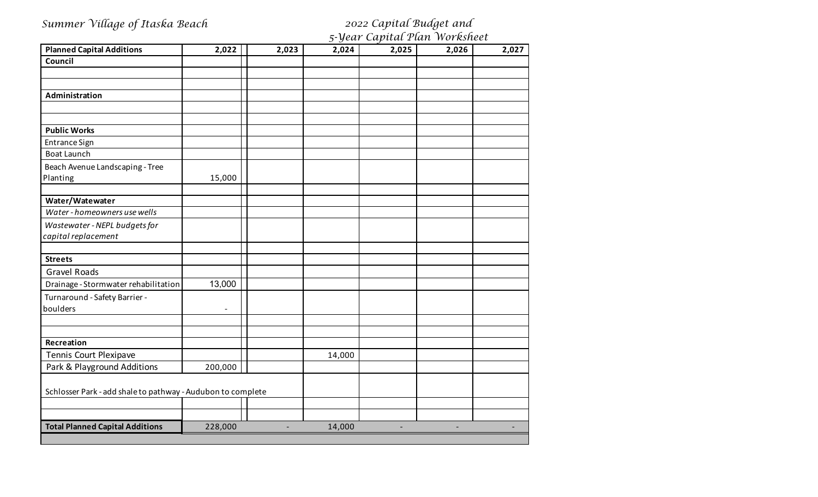| Summer Village of Itaska Beach                              |                |                |        | 2022 Capital Budget and       |       |       |
|-------------------------------------------------------------|----------------|----------------|--------|-------------------------------|-------|-------|
|                                                             |                |                |        | 5-Year Capital Plan Worksheet |       |       |
| <b>Planned Capital Additions</b>                            | 2,022          | 2,023          | 2,024  | 2,025                         | 2,026 | 2,027 |
| Council                                                     |                |                |        |                               |       |       |
|                                                             |                |                |        |                               |       |       |
| Administration                                              |                |                |        |                               |       |       |
|                                                             |                |                |        |                               |       |       |
| <b>Public Works</b>                                         |                |                |        |                               |       |       |
| <b>Entrance Sign</b>                                        |                |                |        |                               |       |       |
| <b>Boat Launch</b>                                          |                |                |        |                               |       |       |
| Beach Avenue Landscaping - Tree                             |                |                |        |                               |       |       |
| Planting                                                    | 15,000         |                |        |                               |       |       |
| Water/Watewater                                             |                |                |        |                               |       |       |
| Water - homeowners use wells                                |                |                |        |                               |       |       |
| Wastewater - NEPL budgets for                               |                |                |        |                               |       |       |
| capital replacement                                         |                |                |        |                               |       |       |
| <b>Streets</b>                                              |                |                |        |                               |       |       |
| <b>Gravel Roads</b>                                         |                |                |        |                               |       |       |
| Drainage - Stormwater rehabilitation                        | 13,000         |                |        |                               |       |       |
| Turnaround - Safety Barrier -                               |                |                |        |                               |       |       |
| boulders                                                    | $\blacksquare$ |                |        |                               |       |       |
|                                                             |                |                |        |                               |       |       |
| Recreation                                                  |                |                |        |                               |       |       |
| Tennis Court Plexipave                                      |                |                | 14,000 |                               |       |       |
| Park & Playground Additions                                 | 200,000        |                |        |                               |       |       |
| Schlosser Park - add shale to pathway - Audubon to complete |                |                |        |                               |       |       |
|                                                             |                |                |        |                               |       |       |
|                                                             |                |                |        |                               |       |       |
| <b>Total Planned Capital Additions</b>                      | 228,000        | $\blacksquare$ | 14,000 | $\overline{\phantom{a}}$      |       |       |